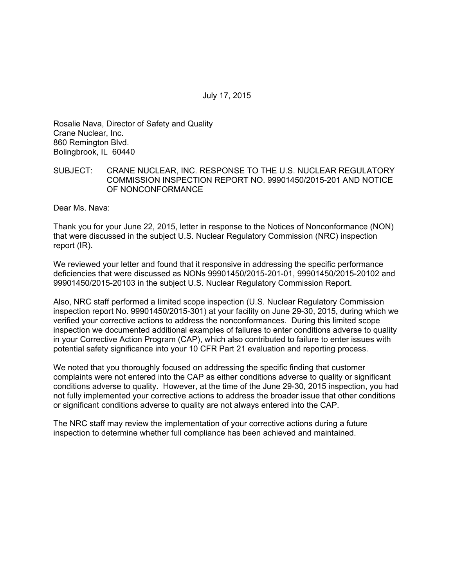July 17, 2015

Rosalie Nava, Director of Safety and Quality Crane Nuclear, Inc. 860 Remington Blvd. Bolingbrook, IL 60440

## SUBJECT: CRANE NUCLEAR, INC. RESPONSE TO THE U.S. NUCLEAR REGULATORY COMMISSION INSPECTION REPORT NO. 99901450/2015-201 AND NOTICE OF NONCONFORMANCE

Dear Ms. Nava:

Thank you for your June 22, 2015, letter in response to the Notices of Nonconformance (NON) that were discussed in the subject U.S. Nuclear Regulatory Commission (NRC) inspection report (IR).

We reviewed your letter and found that it responsive in addressing the specific performance deficiencies that were discussed as NONs 99901450/2015-201-01, 99901450/2015-20102 and 99901450/2015-20103 in the subject U.S. Nuclear Regulatory Commission Report.

Also, NRC staff performed a limited scope inspection (U.S. Nuclear Regulatory Commission inspection report No. 99901450/2015-301) at your facility on June 29-30, 2015, during which we verified your corrective actions to address the nonconformances. During this limited scope inspection we documented additional examples of failures to enter conditions adverse to quality in your Corrective Action Program (CAP), which also contributed to failure to enter issues with potential safety significance into your 10 CFR Part 21 evaluation and reporting process.

We noted that you thoroughly focused on addressing the specific finding that customer complaints were not entered into the CAP as either conditions adverse to quality or significant conditions adverse to quality. However, at the time of the June 29-30, 2015 inspection, you had not fully implemented your corrective actions to address the broader issue that other conditions or significant conditions adverse to quality are not always entered into the CAP.

The NRC staff may review the implementation of your corrective actions during a future inspection to determine whether full compliance has been achieved and maintained.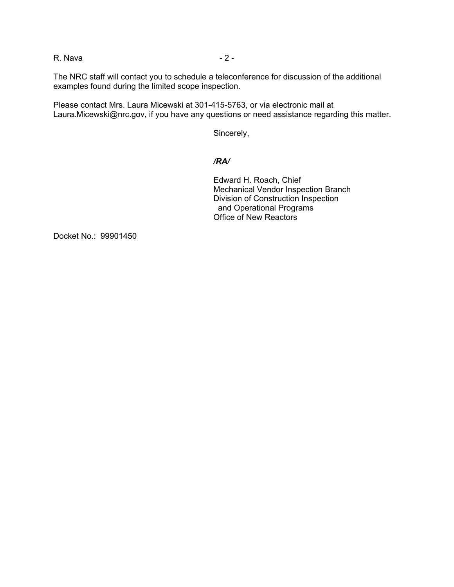R. Nava - 2 -

The NRC staff will contact you to schedule a teleconference for discussion of the additional examples found during the limited scope inspection.

Please contact Mrs. Laura Micewski at 301-415-5763, or via electronic mail at Laura.Micewski@nrc.gov, if you have any questions or need assistance regarding this matter.

Sincerely,

## */RA/*

Edward H. Roach, Chief Mechanical Vendor Inspection Branch Division of Construction Inspection and Operational Programs Office of New Reactors

Docket No.: 99901450